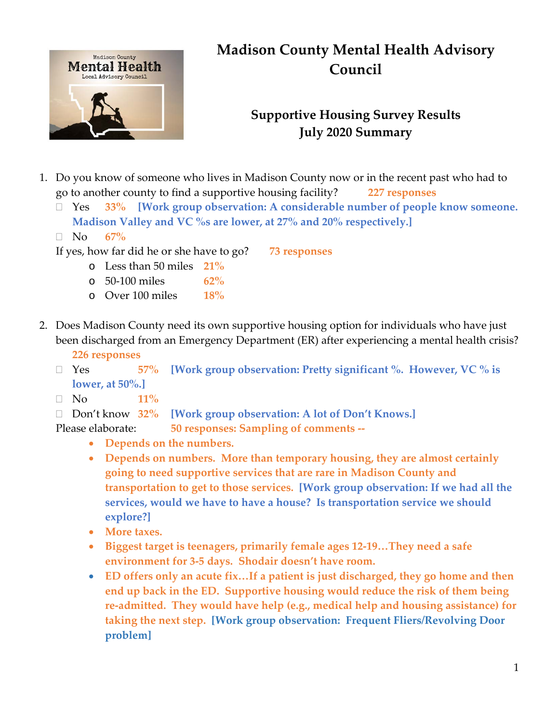

# **Madison County Mental Health Advisory Council**

# **Supportive Housing Survey Results July 2020 Summary**

- 1. Do you know of someone who lives in Madison County now or in the recent past who had to go to another county to find a supportive housing facility? **227 responses**
	- Yes **33% [Work group observation: A considerable number of people know someone. Madison Valley and VC %s are lower, at 27% and 20% respectively.]**
	- No **67%**

If yes, how far did he or she have to go? **73 responses**

- o Less than 50 miles **21%**
- o 50-100 miles **62%**
- o Over 100 miles **18%**
- 2. Does Madison County need its own supportive housing option for individuals who have just been discharged from an Emergency Department (ER) after experiencing a mental health crisis?
	- **226 responses**
	- Yes **57% [Work group observation: Pretty significant %. However, VC % is lower, at 50%.]**
	- $\Box$  No  $11\%$
	- Don't know **32% [Work group observation: A lot of Don't Knows.]**
	- Please elaborate: **50 responses: Sampling of comments --**
		- **Depends on the numbers.**
		- **Depends on numbers. More than temporary housing, they are almost certainly going to need supportive services that are rare in Madison County and transportation to get to those services. [Work group observation: If we had all the services, would we have to have a house? Is transportation service we should explore?]**
		- **More taxes.**
		- **Biggest target is teenagers, primarily female ages 12-19…They need a safe environment for 3-5 days. Shodair doesn't have room.**
		- **ED offers only an acute fix…If a patient is just discharged, they go home and then end up back in the ED. Supportive housing would reduce the risk of them being re-admitted. They would have help (e.g., medical help and housing assistance) for taking the next step. [Work group observation: Frequent Fliers/Revolving Door problem]**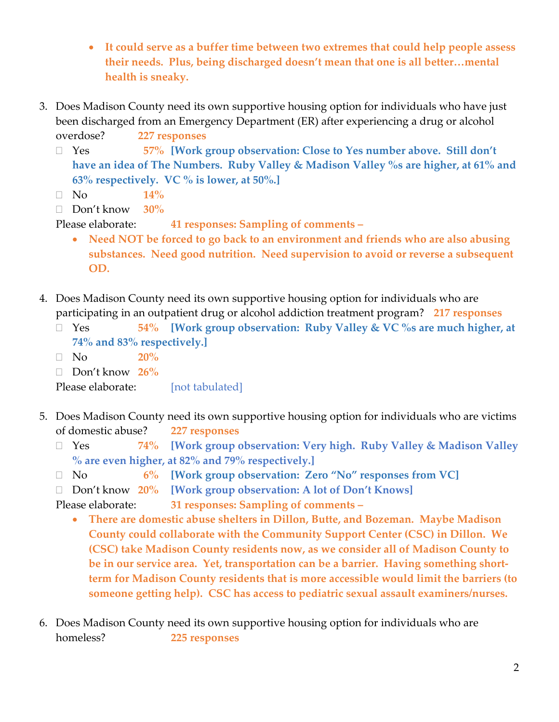- **It could serve as a buffer time between two extremes that could help people assess their needs. Plus, being discharged doesn't mean that one is all better…mental health is sneaky.**
- 3. Does Madison County need its own supportive housing option for individuals who have just been discharged from an Emergency Department (ER) after experiencing a drug or alcohol overdose? **227 responses**
	- Yes **57% [Work group observation: Close to Yes number above. Still don't have an idea of The Numbers. Ruby Valley & Madison Valley %s are higher, at 61% and 63% respectively. VC % is lower, at 50%.]**
	- $\Box$  No  $14\%$
	- Don't know **30%**

Please elaborate: **41 responses: Sampling of comments –**

- **Need NOT be forced to go back to an environment and friends who are also abusing substances. Need good nutrition. Need supervision to avoid or reverse a subsequent OD.**
- 4. Does Madison County need its own supportive housing option for individuals who are participating in an outpatient drug or alcohol addiction treatment program? **217 responses**
	- Yes **54% [Work group observation: Ruby Valley & VC %s are much higher, at 74% and 83% respectively.]**
	- No **20%**
	- Don't know **26%**

Please elaborate: [not tabulated]

- 5. Does Madison County need its own supportive housing option for individuals who are victims of domestic abuse? **227 responses**
	- Yes **74% [Work group observation: Very high. Ruby Valley & Madison Valley % are even higher, at 82% and 79% respectively.]**
	- No **6% [Work group observation: Zero "No" responses from VC]**
	- Don't know **20% [Work group observation: A lot of Don't Knows]**

Please elaborate: **31 responses: Sampling of comments –**

- **There are domestic abuse shelters in Dillon, Butte, and Bozeman. Maybe Madison County could collaborate with the Community Support Center (CSC) in Dillon. We (CSC) take Madison County residents now, as we consider all of Madison County to be in our service area. Yet, transportation can be a barrier. Having something shortterm for Madison County residents that is more accessible would limit the barriers (to someone getting help). CSC has access to pediatric sexual assault examiners/nurses.**
- 6. Does Madison County need its own supportive housing option for individuals who are homeless? **225 responses**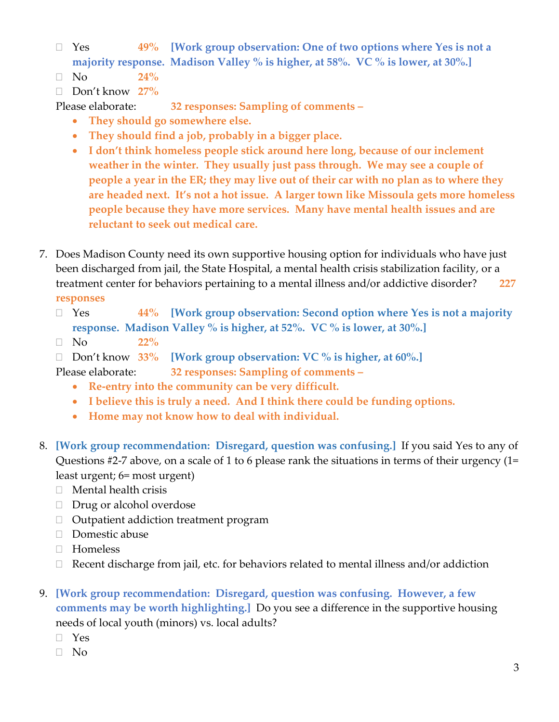- Yes **49% [Work group observation: One of two options where Yes is not a majority response. Madison Valley % is higher, at 58%. VC % is lower, at 30%.]**
- $\Box$  No  $24\%$
- Don't know **27%**

Please elaborate: **32 responses: Sampling of comments –**

- **They should go somewhere else.**
- **They should find a job, probably in a bigger place.**
- **I don't think homeless people stick around here long, because of our inclement weather in the winter. They usually just pass through. We may see a couple of people a year in the ER; they may live out of their car with no plan as to where they are headed next. It's not a hot issue. A larger town like Missoula gets more homeless people because they have more services. Many have mental health issues and are reluctant to seek out medical care.**
- 7. Does Madison County need its own supportive housing option for individuals who have just been discharged from jail, the State Hospital, a mental health crisis stabilization facility, or a treatment center for behaviors pertaining to a mental illness and/or addictive disorder? **227 responses**
	- Yes **44% [Work group observation: Second option where Yes is not a majority response. Madison Valley % is higher, at 52%. VC % is lower, at 30%.]**
	- No **22%**
	- Don't know **33% [Work group observation: VC % is higher, at 60%.]**

Please elaborate: **32 responses: Sampling of comments –**

- **Re-entry into the community can be very difficult.**
- **I believe this is truly a need. And I think there could be funding options.**
- **Home may not know how to deal with individual.**
- 8. **[Work group recommendation: Disregard, question was confusing.]** If you said Yes to any of Questions #2-7 above, on a scale of 1 to 6 please rank the situations in terms of their urgency (1= least urgent; 6= most urgent)
	- $\Box$  Mental health crisis
	- $\Box$  Drug or alcohol overdose
	- □ Outpatient addiction treatment program
	- $\Box$  Domestic abuse
	- □ Homeless
	- $\Box$  Recent discharge from jail, etc. for behaviors related to mental illness and/or addiction

## 9. **[Work group recommendation: Disregard, question was confusing. However, a few comments may be worth highlighting.]** Do you see a difference in the supportive housing needs of local youth (minors) vs. local adults?

- Yes
- No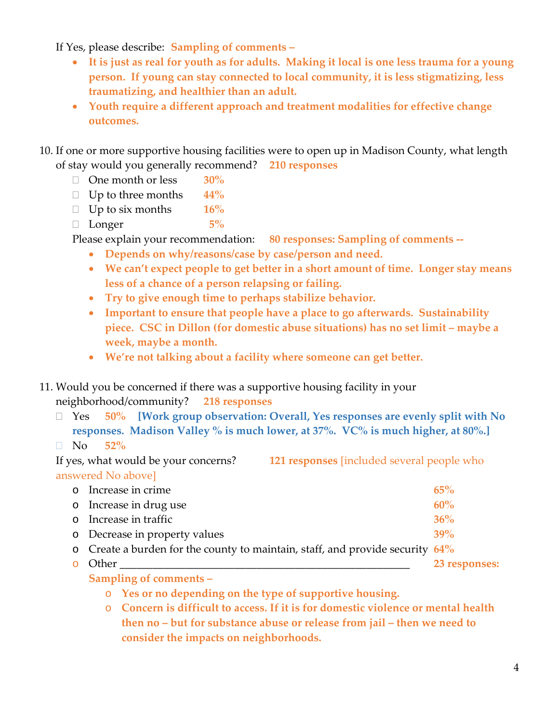If Yes, please describe: **Sampling of comments –**

- **It is just as real for youth as for adults. Making it local is one less trauma for a young person. If young can stay connected to local community, it is less stigmatizing, less traumatizing, and healthier than an adult.**
- **Youth require a different approach and treatment modalities for effective change outcomes.**
- 10. If one or more supportive housing facilities were to open up in Madison County, what length of stay would you generally recommend? **210 responses**
	- One month or less **30%**
	- Up to three months **44%**
	- Up to six months **16%**
	- Longer **5%**

Please explain your recommendation: **80 responses: Sampling of comments --**

- **Depends on why/reasons/case by case/person and need.**
- **We can't expect people to get better in a short amount of time. Longer stay means less of a chance of a person relapsing or failing.**
- **Try to give enough time to perhaps stabilize behavior.**
- **Important to ensure that people have a place to go afterwards. Sustainability piece. CSC in Dillon (for domestic abuse situations) has no set limit – maybe a week, maybe a month.**
- **We're not talking about a facility where someone can get better.**
- 11. Would you be concerned if there was a supportive housing facility in your neighborhood/community? **218 responses**
	- Yes **50% [Work group observation: Overall, Yes responses are evenly split with No responses. Madison Valley % is much lower, at 37%. VC% is much higher, at 80%.]**
	- No **52%**

### If yes, what would be your concerns? **121 responses** [included several people who answered No above]

| o Increase in crime                                                              | 65%           |
|----------------------------------------------------------------------------------|---------------|
| o Increase in drug use                                                           | 60%           |
| o Increase in traffic                                                            | 36%           |
| o Decrease in property values                                                    | 39%           |
| o Create a burden for the county to maintain, staff, and provide security $64\%$ |               |
| o Other                                                                          | 23 responses: |
|                                                                                  |               |

- **Sampling of comments –**
	- o **Yes or no depending on the type of supportive housing.**
	- o **Concern is difficult to access. If it is for domestic violence or mental health then no – but for substance abuse or release from jail – then we need to consider the impacts on neighborhoods.**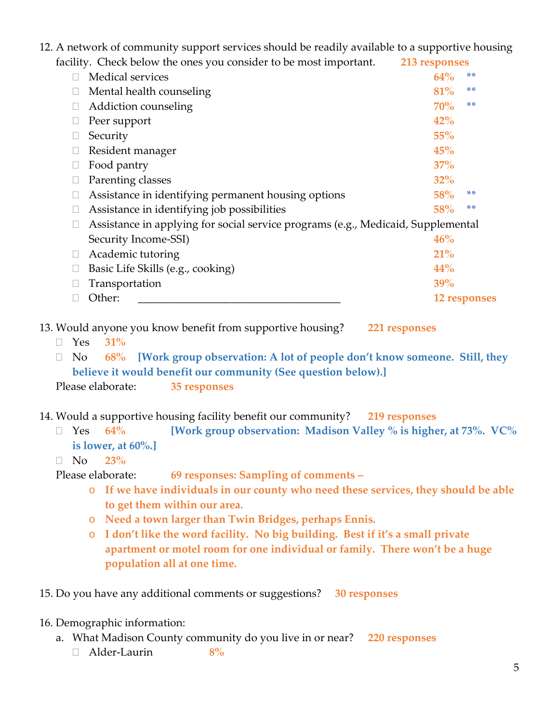12. A network of community support services should be readily available to a supportive housing

| facility. Check below the ones you consider to be most important.                | 213 responses |              |  |
|----------------------------------------------------------------------------------|---------------|--------------|--|
| <b>Medical services</b>                                                          | 64%           | **           |  |
| Mental health counseling                                                         | 81%           | **           |  |
| Addiction counseling                                                             | 70%           | **           |  |
| Peer support                                                                     | 42%           |              |  |
| Security                                                                         | 55%           |              |  |
| Resident manager                                                                 | 45%           |              |  |
| Food pantry                                                                      | 37%           |              |  |
| Parenting classes                                                                | $32\%$        |              |  |
| Assistance in identifying permanent housing options                              | 58%           | **           |  |
| Assistance in identifying job possibilities                                      | 58%           | **           |  |
| Assistance in applying for social service programs (e.g., Medicaid, Supplemental |               |              |  |
| Security Income-SSI)                                                             | 46%           |              |  |
| Academic tutoring                                                                | 21%           |              |  |
| Basic Life Skills (e.g., cooking)                                                | 44%           |              |  |
| Transportation                                                                   | 39%           |              |  |
| Other:                                                                           |               | 12 responses |  |

13. Would anyone you know benefit from supportive housing? **221 responses**

Yes **31%**

 No **68% [Work group observation: A lot of people don't know someone. Still, they believe it would benefit our community (See question below).]** Please elaborate: **35 responses**

14. Would a supportive housing facility benefit our community? **219 responses**

 Yes **64% [Work group observation: Madison Valley % is higher, at 73%. VC% is lower, at 60%.]**

#### No **23%**

Please elaborate: **69 responses: Sampling of comments –**

- o **If we have individuals in our county who need these services, they should be able to get them within our area.**
- o **Need a town larger than Twin Bridges, perhaps Ennis.**
- o **I don't like the word facility. No big building. Best if it's a small private apartment or motel room for one individual or family. There won't be a huge population all at one time.**

15. Do you have any additional comments or suggestions? **30 responses**

#### 16. Demographic information:

- a. What Madison County community do you live in or near? **220 responses**
	- Alder-Laurin **8%**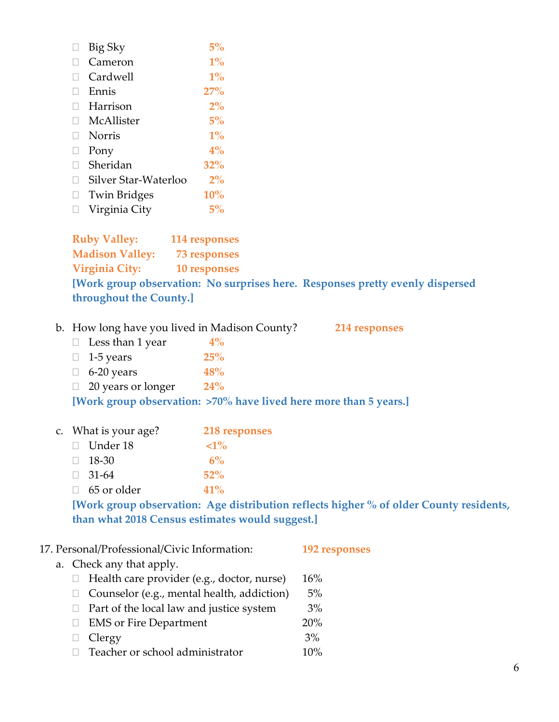| Big Sky              | 5%         |
|----------------------|------------|
| Cameron              | $1\%$      |
| Cardwell             | $1\%$      |
| Ennis                | 27%        |
| Harrison             | $2\%$      |
| McAllister           | $5\%$      |
| <b>Norris</b>        | $1\%$      |
| Pony                 | $4\%$      |
| Sheridan             | <b>32%</b> |
| Silver Star-Waterloo | $2\%$      |
| <b>Twin Bridges</b>  | <b>10%</b> |
| Virginia City        | $5\%$      |
|                      |            |

**Ruby Valley: 114 responses Madison Valley: 73 responses Virginia City: 10 responses [Work group observation: No surprises here. Responses pretty evenly dispersed throughout the County.]**

# b. How long have you lived in Madison County? **214 responses**

 Less than 1 year **4%** 1-5 years **25%** 6-20 years **48%** 20 years or longer **24% [Work group observation: >70% have lived here more than 5 years.]**

#### c. What is your age? **218 responses**

| $\Box$ Under 18    |  | $\langle 1\%$ |  |
|--------------------|--|---------------|--|
| $\Box$ 18-30       |  | $6\%$         |  |
| $\Box$ 31-64       |  | $52\%$        |  |
| $\Box$ 65 or older |  | 41%           |  |
|                    |  |               |  |

**[Work group observation: Age distribution reflects higher % of older County residents, than what 2018 Census estimates would suggest.]**

| 17. Personal/Professional/Civic Information:      | 192 responses |  |
|---------------------------------------------------|---------------|--|
| a. Check any that apply.                          |               |  |
| Health care provider (e.g., doctor, nurse)        | 16%           |  |
| $\Box$ Counselor (e.g., mental health, addiction) | $5\%$         |  |
| Part of the local law and justice system          | $3\%$         |  |
| <b>EMS</b> or Fire Department<br>$\Box$           | 20%           |  |
| Clergy                                            | 3%            |  |
| Teacher or school administrator                   | 10%           |  |